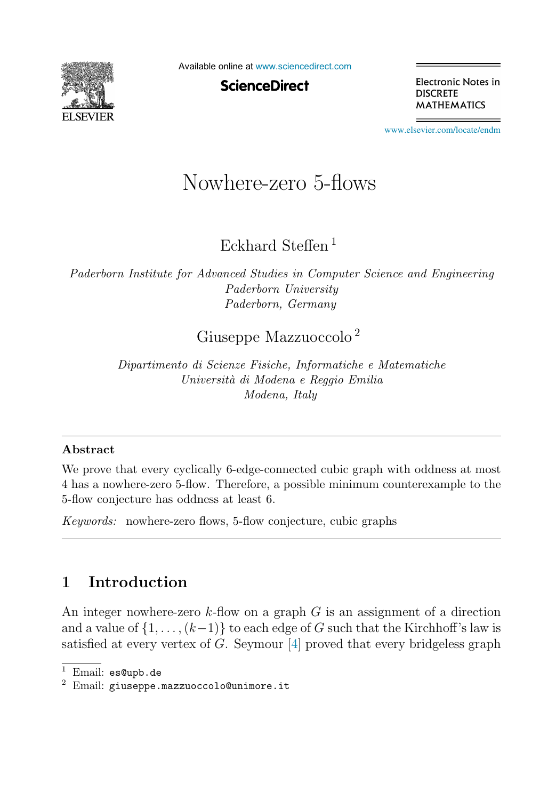

Available online at [www.sciencedirect.com](http://www.sciencedirect.com)

**ScienceDirect** 

Electronic Notes in **DISCRETE MATHEMATICS** 

[www.elsevier.com/locate/endm](http://www.elsevier.com/locate/endm)

# Nowhere-zero 5-flows

Eckhard Steffen <sup>1</sup>

*Paderborn Institute for Advanced Studies in Computer Science and Engineering Paderborn University Paderborn, Germany*

## Giuseppe Mazzuoccolo <sup>2</sup>

*Dipartimento di Scienze Fisiche, Informatiche e Matematiche Universit`a di Modena e Reggio Emilia Modena, Italy*

#### **Abstract**

We prove that every cyclically 6-edge-connected cubic graph with oddness at most 4 has a nowhere-zero 5-flow. Therefore, a possible minimum counterexample to the 5-flow conjecture has oddness at least 6.

*Keywords:* nowhere-zero flows, 5-flow conjecture, cubic graphs

# **1 Introduction**

An integer nowhere-zero  $k$ -flow on a graph  $G$  is an assignment of a direction and a value of  $\{1,\ldots,(k-1)\}$  to each edge of G such that the Kirchhoff's law is satisfied at every vertex of  $G$ . Seymour  $[4]$  proved that every bridgeless graph

 $1$  Email: es@upb.de

 $2$  Email: giuseppe.mazzuoccolo@unimore.it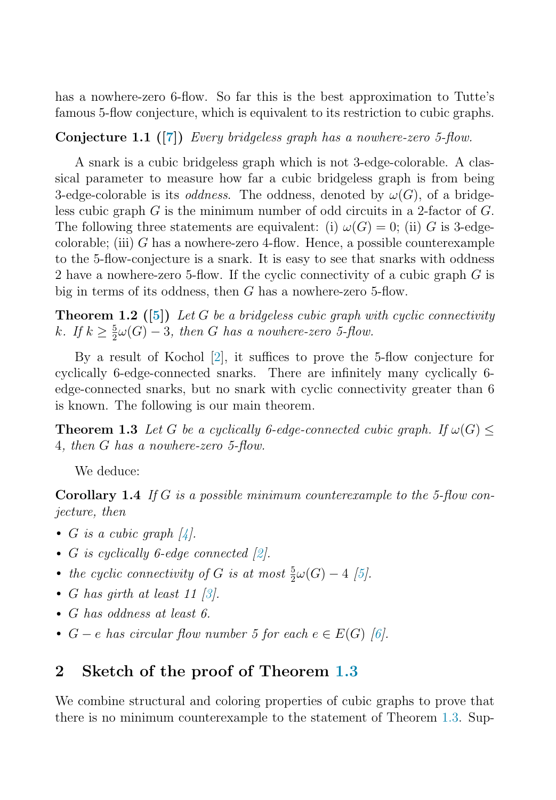has a nowhere-zero 6-flow. So far this is the best approximation to Tutte's famous 5-flow conjecture, which is equivalent to its restriction to cubic graphs.

**Conjecture 1.1 ([\[7\]](#page-4-0))** Every bridgeless graph has a nowhere-zero 5-flow.

A snark is a cubic bridgeless graph which is not 3-edge-colorable. A classical parameter to measure how far a cubic bridgeless graph is from being 3-edge-colorable is its *oddness*. The oddness, denoted by  $\omega(G)$ , of a bridgeless cubic graph G is the minimum number of odd circuits in a 2-factor of G. The following three statements are equivalent: (i)  $\omega(G) = 0$ ; (ii) G is 3-edgecolorable; (iii)  $G$  has a nowhere-zero 4-flow. Hence, a possible counterexample to the 5-flow-conjecture is a snark. It is easy to see that snarks with oddness 2 have a nowhere-zero 5-flow. If the cyclic connectivity of a cubic graph G is big in terms of its oddness, then G has a nowhere-zero 5-flow.

**Theorem 1.2 ([\[5\]](#page-4-0))** Let G be a bridgeless cubic graph with cyclic connectivity k. If  $k \geq \frac{5}{2}\omega(G) - 3$ , then G has a nowhere-zero 5-flow.

By a result of Kochol [\[2\]](#page-4-0), it suffices to prove the 5-flow conjecture for cyclically 6-edge-connected snarks. There are infinitely many cyclically 6 edge-connected snarks, but no snark with cyclic connectivity greater than 6 is known. The following is our main theorem.

**Theorem 1.3** Let G be a cyclically 6-edge-connected cubic graph. If  $\omega(G)$  < 4, then G has a nowhere-zero 5-flow.

We deduce:

**Corollary 1.4** If G is a possible minimum counterexample to the 5-flow conjecture, then

- G is a cubic graph  $\lbrack 4 \rbrack$ .
- G is cyclically 6-edge connected  $[2]$ .
- the cyclic connectivity of G is at most  $\frac{5}{2}\omega(G) 4$  [\[5\]](#page-4-0).
- G has girth at least 11 [\[3\]](#page-4-0).
- G has oddness at least 6.
- $G e$  has circular flow number 5 for each  $e \in E(G)$  [\[6\]](#page-4-0).

### **2 Sketch of the proof of Theorem 1.3**

We combine structural and coloring properties of cubic graphs to prove that there is no minimum counterexample to the statement of Theorem 1.3. Sup-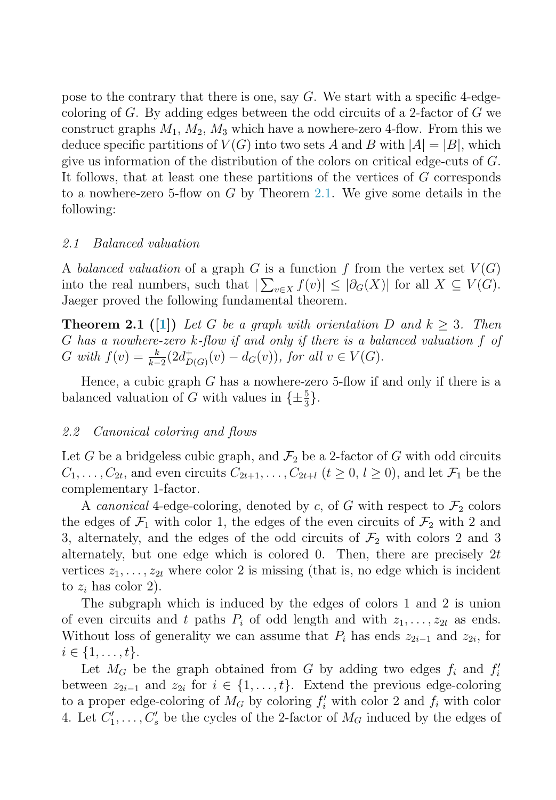<span id="page-2-0"></span>pose to the contrary that there is one, say  $G$ . We start with a specific 4-edgecoloring of G. By adding edges between the odd circuits of a 2-factor of G we construct graphs  $M_1$ ,  $M_2$ ,  $M_3$  which have a nowhere-zero 4-flow. From this we deduce specific partitions of  $V(G)$  into two sets A and B with  $|A| = |B|$ , which give us information of the distribution of the colors on critical edge-cuts of G. It follows, that at least one these partitions of the vertices of G corresponds to a nowhere-zero 5-flow on  $G$  by Theorem 2.1. We give some details in the following:

#### 2.1 Balanced valuation

A balanced valuation of a graph G is a function f from the vertex set  $V(G)$ into the real numbers, such that  $|\sum_{v\in X} f(v)| \leq |\partial_G(X)|$  for all  $X \subseteq V(G)$ . Jaeger proved the following fundamental theorem.

**Theorem 2.1** ([\[1\]](#page-4-0)) Let G be a graph with orientation D and  $k > 3$ . Then G has a nowhere-zero k-flow if and only if there is a balanced valuation f of G with  $f(v) = \frac{k}{k-2} (2d_{D(G)}^+(v) - d_G(v))$ , for all  $v \in V(G)$ .

Hence, a cubic graph  $G$  has a nowhere-zero 5-flow if and only if there is a balanced valuation of G with values in  $\{\pm \frac{5}{3}\}.$ 

#### 2.2 Canonical coloring and flows

Let G be a bridgeless cubic graph, and  $\mathcal{F}_2$  be a 2-factor of G with odd circuits  $C_1,\ldots,C_{2t}$ , and even circuits  $C_{2t+1},\ldots,C_{2t+l}$   $(t \geq 0, l \geq 0)$ , and let  $\mathcal{F}_1$  be the complementary 1-factor.

A canonical 4-edge-coloring, denoted by c, of G with respect to  $\mathcal{F}_2$  colors the edges of  $\mathcal{F}_1$  with color 1, the edges of the even circuits of  $\mathcal{F}_2$  with 2 and 3, alternately, and the edges of the odd circuits of  $\mathcal{F}_2$  with colors 2 and 3 alternately, but one edge which is colored 0. Then, there are precisely  $2t$ vertices  $z_1, \ldots, z_{2t}$  where color 2 is missing (that is, no edge which is incident to  $z_i$  has color 2).

The subgraph which is induced by the edges of colors 1 and 2 is union of even circuits and t paths  $P_i$  of odd length and with  $z_1, \ldots, z_{2t}$  as ends. Without loss of generality we can assume that  $P_i$  has ends  $z_{2i-1}$  and  $z_{2i}$ , for  $i \in \{1, \ldots, t\}.$ 

Let  $M_G$  be the graph obtained from G by adding two edges  $f_i$  and  $f'_i$ between  $z_{2i-1}$  and  $z_{2i}$  for  $i \in \{1,\ldots,t\}$ . Extend the previous edge-coloring to a proper edge-coloring of  $M_G$  by coloring  $f'_i$  with color 2 and  $f_i$  with color 4. Let  $C'_1, \ldots, C'_s$  be the cycles of the 2-factor of  $M_G$  induced by the edges of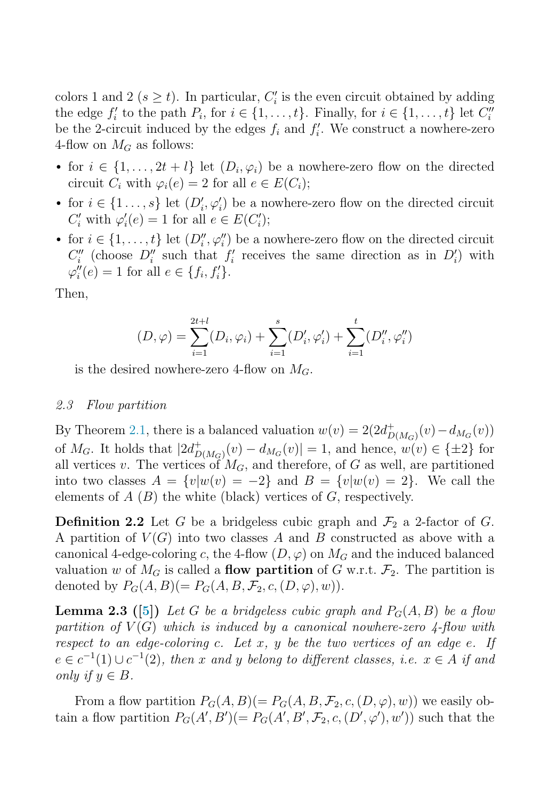colors 1 and 2 ( $s \geq t$ ). In particular,  $C_i'$  is the even circuit obtained by adding the edge  $f'_i$  to the path  $P_i$ , for  $i \in \{1, ..., t\}$ . Finally, for  $i \in \{1, ..., t\}$  let  $C''_i$ be the 2-circuit induced by the edges  $f_i$  and  $f'_i$ . We construct a nowhere-zero 4-flow on  $M_G$  as follows:

- for  $i \in \{1, ..., 2t + l\}$  let  $(D_i, \varphi_i)$  be a nowhere-zero flow on the directed circuit  $C_i$  with  $\varphi_i(e) = 2$  for all  $e \in E(C_i)$ ;
- for  $i \in \{1 \ldots, s\}$  let  $(D'_i, \varphi'_i)$  be a nowhere-zero flow on the directed circuit  $C_i'$  with  $\varphi_i'(e) = 1$  for all  $e \in E(C_i')$ ;
- for  $i \in \{1, \ldots, t\}$  let  $(D''_i, \varphi''_i)$  be a nowhere-zero flow on the directed circuit  $C_i''$  (choose  $D_i''$  such that  $f_i'$  receives the same direction as in  $D_i'$ ) with  $\varphi''_i(e) = 1$  for all  $e \in \{f_i, f'_i\}.$

Then,

$$
(D, \varphi) = \sum_{i=1}^{2t+l} (D_i, \varphi_i) + \sum_{i=1}^{s} (D'_i, \varphi'_i) + \sum_{i=1}^{t} (D''_i, \varphi''_i)
$$

is the desired nowhere-zero 4-flow on  $M_G$ .

#### 2.3 Flow partition

By Theorem [2.1,](#page-2-0) there is a balanced valuation  $w(v) = 2(2d_{D(M_G)}^+(v) - d_{M_G}(v))$ of  $M_G$ . It holds that  $|2d_{D(M_G)}^+(v) - d_{M_G}(v)| = 1$ , and hence,  $w(v) \in {\pm 2}$  for all vertices v. The vertices of  $M_G$ , and therefore, of G as well, are partitioned into two classes  $A = \{v|w(v) = -2\}$  and  $B = \{v|w(v)=2\}$ . We call the elements of  $A(B)$  the white (black) vertices of  $G$ , respectively.

**Definition 2.2** Let G be a bridgeless cubic graph and  $\mathcal{F}_2$  a 2-factor of G. A partition of  $V(G)$  into two classes A and B constructed as above with a canonical 4-edge-coloring c, the 4-flow  $(D, \varphi)$  on  $M_G$  and the induced balanced valuation w of  $M_G$  is called a **flow partition** of G w.r.t.  $\mathcal{F}_2$ . The partition is denoted by  $P_G(A, B) (= P_G(A, B, \mathcal{F}_2, c, (D, \varphi), w)).$ 

**Lemma 2.3 ([\[5\]](#page-4-0))** Let G be a bridgeless cubic graph and  $P_G(A, B)$  be a flow partition of  $V(G)$  which is induced by a canonical nowhere-zero 4-flow with respect to an edge-coloring c. Let x, y be the two vertices of an edge e. If  $e \in c^{-1}(1) \cup c^{-1}(2)$ , then x and y belong to different classes, i.e.  $x \in A$  if and only if  $y \in B$ .

From a flow partition  $P_G(A, B) (= P_G(A, B, \mathcal{F}_2, c, (D, \varphi), w))$  we easily obtain a flow partition  $P_G(A', B') = P_G(A', B', \mathcal{F}_2, c, (D', \varphi'), w')$  such that the